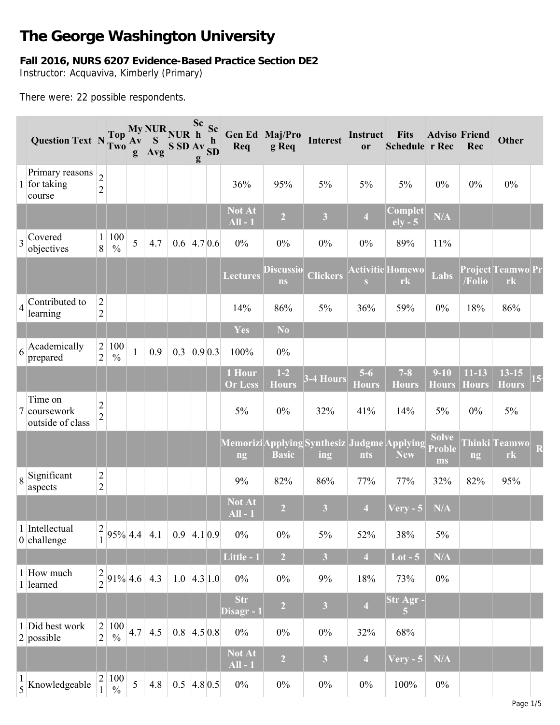# **The George Washington University**

# **Fall 2016, NURS 6207 Evidence-Based Practice Section DE2** Instructor: Acquaviva, Kimberly (Primary)

There were: 22 possible respondents.

|                | Question Text N Two                         |                                        | Top                       | $A\mathbf{v}$<br>g | S<br>Avg     | My NUR NUR h<br>SSDAV | Sc<br>g    | Sc<br>$\mathbf h$<br>SD | Req                                              | Gen Ed Maj/Pro<br>g Req       | <b>Interest</b>         | Instruct<br>or          | <b>Fits</b><br>Schedule r Rec | <b>Adviso Friend</b>                | Rec                       | <b>Other</b>                    |  |
|----------------|---------------------------------------------|----------------------------------------|---------------------------|--------------------|--------------|-----------------------|------------|-------------------------|--------------------------------------------------|-------------------------------|-------------------------|-------------------------|-------------------------------|-------------------------------------|---------------------------|---------------------------------|--|
|                | Primary reasons<br>1 for taking<br>course   | $\overline{c}$<br>$\overline{2}$       |                           |                    |              |                       |            |                         | 36%                                              | 95%                           | $5\%$                   | $5\%$                   | $5\%$                         | 0%                                  | $0\%$                     | $0\%$                           |  |
|                |                                             |                                        |                           |                    |              |                       |            |                         | <b>Not At</b><br>$All - 1$                       | $\overline{2}$                | $\overline{\mathbf{3}}$ | $\overline{4}$          | Complet<br>$ely - 5$          | N/A                                 |                           |                                 |  |
|                | $\frac{1}{3}$ Covered<br>objectives         | $\mathbf{1}$<br>8                      | 100<br>$\frac{0}{0}$      | 5                  | 4.7          | $0.6$ 4.7 0.6         |            |                         | $0\%$                                            | $0\%$                         | $0\%$                   | 0%                      | 89%                           | 11%                                 |                           |                                 |  |
|                |                                             |                                        |                           |                    |              |                       |            |                         | <b>Lectures</b>                                  | <b>Discussio</b><br><b>ns</b> | <b>Clickers</b>         | S                       | <b>Activitie Homewo</b><br>rk | Labs                                | /Folio                    | Project Teamwo Pr<br>rk         |  |
| $\overline{4}$ | Contributed to<br>learning                  | $\overline{2}$<br>$\overline{2}$       |                           |                    |              |                       |            |                         | 14%                                              | 86%                           | $5\%$                   | 36%                     | 59%                           | $0\%$                               | 18%                       | 86%                             |  |
|                |                                             |                                        |                           |                    |              |                       |            |                         | Yes                                              | N <sub>0</sub>                |                         |                         |                               |                                     |                           |                                 |  |
| 6              | Academically<br>prepared                    | $\frac{2}{2}$                          | 100<br>$\frac{0}{0}$      | $\mathbf{1}$       | 0.9          | 0.3                   | 0.9 0.3    |                         | 100%                                             | $0\%$                         |                         |                         |                               |                                     |                           |                                 |  |
|                |                                             |                                        |                           |                    |              |                       |            |                         | 1 Hour<br><b>Or Less</b>                         | $1-2$<br><b>Hours</b>         | 3-4 Hours               | $5-6$<br><b>Hours</b>   | $7 - 8$<br><b>Hours</b>       | $9-10$<br><b>Hours</b>              | $11 - 13$<br><b>Hours</b> | $13 - 15$<br><b>Hours</b>       |  |
|                | Time on<br>7 coursework<br>outside of class | $\overline{2}$<br>$\overline{2}$       |                           |                    |              |                       |            |                         | 5%                                               | $0\%$                         | 32%                     | 41%                     | 14%                           | 5%                                  | $0\%$                     | 5%                              |  |
|                |                                             |                                        |                           |                    |              |                       |            |                         | MemoriziApplying Synthesiz Judgme Applying<br>ng | <b>Basic</b>                  | ing                     | nts                     | <b>New</b>                    | <b>Solve</b><br><b>Proble</b><br>ms | ng                        | Thinki Teamwo<br>r <sub>k</sub> |  |
|                | $\frac{1}{8}$ Significant<br>aspects        | $\boldsymbol{2}$<br>$\overline{2}$     |                           |                    |              |                       |            |                         | 9%                                               | 82%                           | 86%                     | 77%                     | 77%                           | 32%                                 | 82%                       | 95%                             |  |
|                |                                             |                                        |                           |                    |              |                       |            |                         | <b>Not At</b><br>$All - 1$                       | $\overline{2}$                | $\overline{\mathbf{3}}$ | $\overline{4}$          | $Very - 5$                    | $\overline{\text{N/A}}$             |                           |                                 |  |
|                | 1 Intellectual<br>$0$ challenge             | $\frac{2}{1}$                          | $95\%$ 4.4 4.1            |                    |              | $0.9$ 4.1 0.9         |            |                         | $0\%$                                            | $0\%$                         | $5\%$                   | 52%                     | 38%                           | 5%                                  |                           |                                 |  |
|                |                                             |                                        |                           |                    |              |                       |            |                         | Little - 1                                       | $\overline{2}$                | $\overline{\mathbf{3}}$ | $\overline{4}$          | $Lot - 5$                     | N/A                                 |                           |                                 |  |
|                | 1 How much<br>1 learned                     |                                        | $\frac{2}{2}$ 91% 4.6 4.3 |                    |              | $1.0 \, 4.3 \, 1.0$   |            |                         | $0\%$                                            | $0\%$                         | 9%                      | 18%                     | 73%                           | $0\%$                               |                           |                                 |  |
|                |                                             |                                        |                           |                    |              |                       |            |                         | <b>Str</b><br>Disagr - 1                         | $\overline{2}$                | $\overline{\mathbf{3}}$ | $\overline{\mathbf{4}}$ | Str Agr -<br>5                |                                     |                           |                                 |  |
|                | 1 Did best work<br>$2$ possible             | $\frac{2}{2}$                          | $\frac{100}{\%}$          |                    | $4.7 \, 4.5$ | $0.8$ 4.5 0.8         |            |                         | $0\%$                                            | $0\%$                         | $0\%$                   | 32%                     | 68%                           |                                     |                           |                                 |  |
|                |                                             |                                        |                           |                    |              |                       |            |                         | Not At<br>$All - 1$                              | $\overline{2}$                | $\overline{\mathbf{3}}$ | $\overline{4}$          | $Very - 5$                    | N/A                                 |                           |                                 |  |
|                | $\frac{1}{5}$ Knowledgeable                 | $\begin{bmatrix} 2 \\ 1 \end{bmatrix}$ | 100<br>$\frac{0}{0}$      | 5                  | 4.8          | 0.5                   | $4.8\,0.5$ |                         | $0\%$                                            | $0\%$                         | $0\%$                   | $0\%$                   | 100%                          | $0\%$                               |                           |                                 |  |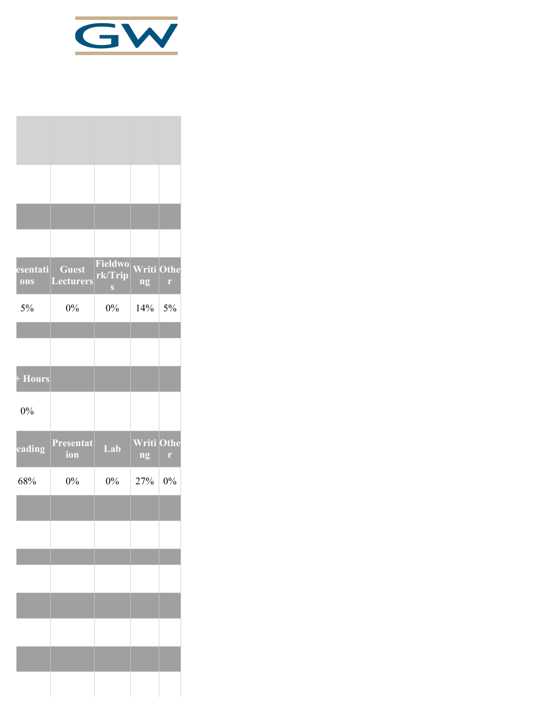

| esentati | <b>Guest</b>     | Fieldwo                | <b>Writi Othe</b> |           |
|----------|------------------|------------------------|-------------------|-----------|
| ons      | Lecturers        | rk/Trip<br>$\mathbf S$ | ng                | $\Gamma$  |
| 5%       | 0%               | 0%                     | 14%               | 5%        |
|          |                  |                        |                   |           |
|          |                  |                        |                   |           |
| + Hours  |                  |                        |                   |           |
| 0%       |                  |                        |                   |           |
| eading   | Presentat<br>ion | Lab                    | Writi<br>ng       | Othe<br>r |
| 68%      | $0\%$            | 0%                     | 27%               | 0%        |
|          |                  |                        |                   |           |
|          |                  |                        |                   |           |
|          |                  |                        |                   |           |
|          |                  |                        |                   |           |
|          |                  |                        |                   |           |
|          |                  |                        |                   |           |
|          |                  |                        |                   |           |
|          |                  |                        |                   |           |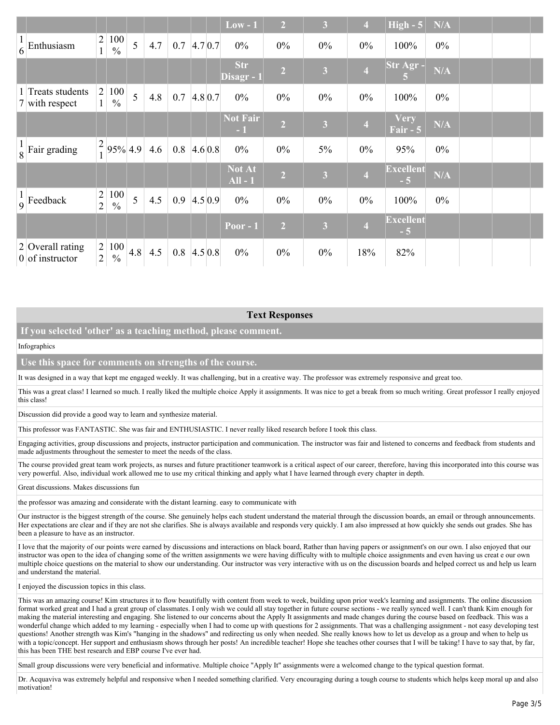|                |                                       |                                  |                       |     |     |     |         | $Low - 1$                | $\overline{2}$ | $\overline{\mathbf{3}}$ | $\overline{4}$ | High $-5$                   | N/A   |  |
|----------------|---------------------------------------|----------------------------------|-----------------------|-----|-----|-----|---------|--------------------------|----------------|-------------------------|----------------|-----------------------------|-------|--|
| $\overline{6}$ | Enthusiasm                            | $\overline{2}$<br>$\mathbf{1}$   | 100<br>$\frac{0}{0}$  | 5   | 4.7 | 0.7 | 4.70.7  | $0\%$                    | $0\%$          | $0\%$                   | $0\%$          | 100%                        | $0\%$ |  |
|                |                                       |                                  |                       |     |     |     |         | <b>Str</b><br>Disagr - 1 | $\overline{2}$ | $\overline{\mathbf{3}}$ | $\overline{4}$ | Str Agr -<br>$\overline{5}$ | N/A   |  |
|                | 1 Treats students<br>7 with respect   | $\overline{2}$<br>$\mathbf{1}$   | 100<br>$\frac{0}{0}$  | 5   | 4.8 | 0.7 | 4.80.7  | $0\%$                    | $0\%$          | $0\%$                   | $0\%$          | 100%                        | $0\%$ |  |
|                |                                       |                                  |                       |     |     |     |         | Not Fair<br>$-1$         | $\overline{2}$ | $\overline{\mathbf{3}}$ | $\overline{4}$ | <b>Very</b><br>Fair $-5$    | N/A   |  |
| $\overline{8}$ | Fair grading                          |                                  | $\frac{2}{1}$ 95% 4.9 |     | 4.6 | 0.8 | 4.60.8  | $0\%$                    | $0\%$          | $5\%$                   | $0\%$          | 95%                         | $0\%$ |  |
|                |                                       |                                  |                       |     |     |     |         | Not At<br>$All - 1$      | $\overline{2}$ | $\overline{\mathbf{3}}$ | $\overline{4}$ | <b>Excellent</b><br>$-5$    | N/A   |  |
|                | $\int_{9}^{1}$ Feedback               | $\overline{c}$<br>$\overline{2}$ | 100<br>$\frac{0}{0}$  | 5   | 4.5 | 0.9 | 4.5 0.9 | $0\%$                    | $0\%$          | $0\%$                   | $0\%$          | 100%                        | $0\%$ |  |
|                |                                       |                                  |                       |     |     |     |         | Poor - $1$               | $\overline{2}$ | $\overline{\mathbf{3}}$ | $\overline{4}$ | <b>Excellent</b><br>$-5$    |       |  |
|                | 2 Overall rating<br>$0$ of instructor | $\overline{2}$<br>$\overline{2}$ | 100<br>$\frac{0}{0}$  | 4.8 | 4.5 | 0.8 | 4.5 0.8 | $0\%$                    | $0\%$          | $0\%$                   | 18%            | 82%                         |       |  |

## **Text Responses**

# **If you selected 'other' as a teaching method, please comment.**

### Infographics

 **Use this space for comments on strengths of the course.**

It was designed in a way that kept me engaged weekly. It was challenging, but in a creative way. The professor was extremely responsive and great too.

This was a great class! I learned so much. I really liked the multiple choice Apply it assignments. It was nice to get a break from so much writing. Great professor I really enjoyed this class!

Discussion did provide a good way to learn and synthesize material.

This professor was FANTASTIC. She was fair and ENTHUSIASTIC. I never really liked research before I took this class.

Engaging activities, group discussions and projects, instructor participation and communication. The instructor was fair and listened to concerns and feedback from students and made adjustments throughout the semester to meet the needs of the class.

The course provided great team work projects, as nurses and future practitioner teamwork is a critical aspect of our career, therefore, having this incorporated into this course was very powerful. Also, individual work allowed me to use my critical thinking and apply what I have learned through every chapter in depth.

Great discussions. Makes discussions fun

the professor was amazing and considerate with the distant learning. easy to communicate with

Our instructor is the biggest strength of the course. She genuinely helps each student understand the material through the discussion boards, an email or through announcements. Her expectations are clear and if they are not she clarifies. She is always available and responds very quickly. I am also impressed at how quickly she sends out grades. She has been a pleasure to have as an instructor.

I love that the majority of our points were earned by discussions and interactions on black board, Rather than having papers or assignment's on our own. I also enjoyed that our instructor was open to the idea of changing some of the written assignments we were having difficulty with to multiple choice assignments and even having us creat e our own multiple choice questions on the material to show our understanding. Our instructor was very interactive with us on the discussion boards and helped correct us and help us learn and understand the material.

I enjoyed the discussion topics in this class.

This was an amazing course! Kim structures it to flow beautifully with content from week to week, building upon prior week's learning and assignments. The online discussion format worked great and I had a great group of classmates. I only wish we could all stay together in future course sections - we really synced well. I can't thank Kim enough for making the material interesting and engaging. She listened to our concerns about the Apply It assignments and made changes during the course based on feedback. This was a wonderful change which added to my learning - especially when I had to come up with questions for 2 assignments. That was a challenging assignment - not easy developing test questions! Another strength was Kim's "hanging in the shadows" and redirecting us only when needed. She really knows how to let us develop as a group and when to help us with a topic/concept. Her support and enthusiasm shows through her posts! An incredible teacher! Hope she teaches other courses that I will be taking! I have to say that, by far, this has been THE best research and EBP course I've ever had.

Small group discussions were very beneficial and informative. Multiple choice "Apply It" assignments were a welcomed change to the typical question format.

Dr. Acquaviva was extremely helpful and responsive when I needed something clarified. Very encouraging during a tough course to students which helps keep moral up and also motivation!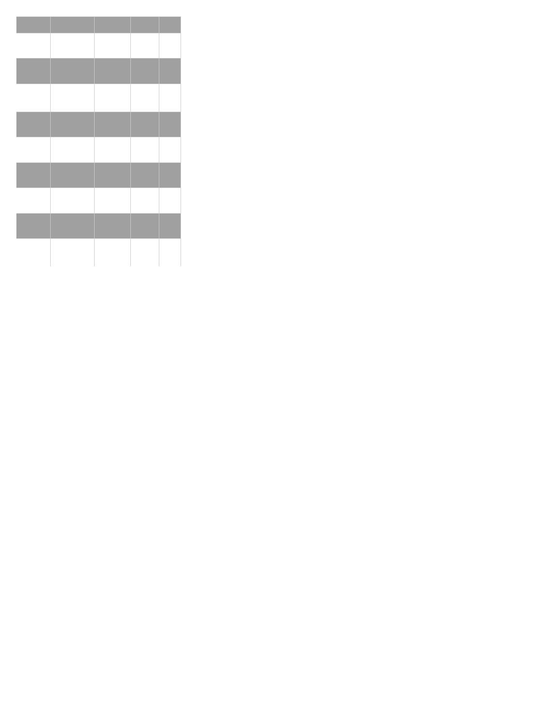